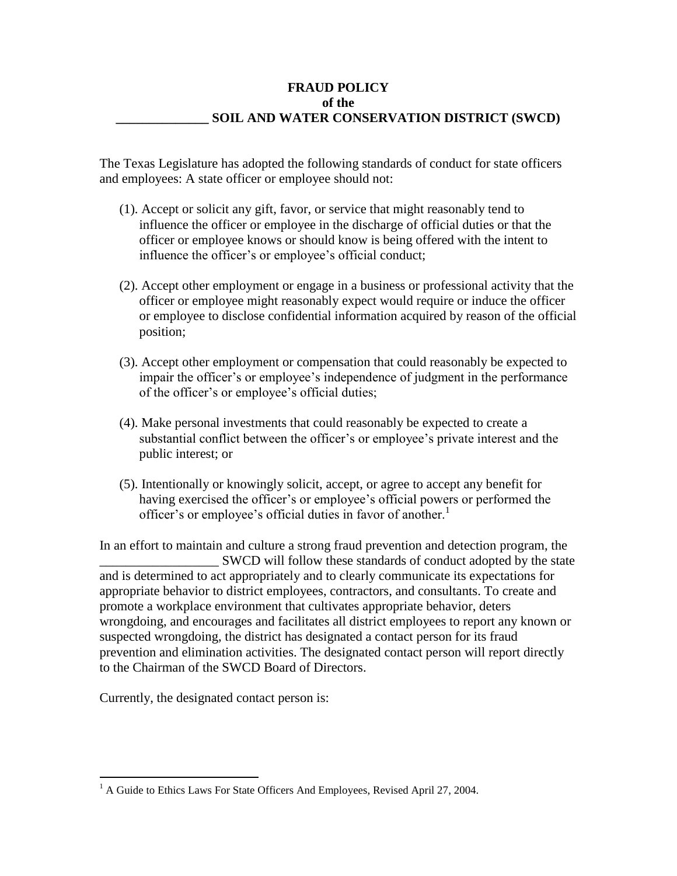## **FRAUD POLICY of the \_\_\_\_\_\_\_\_\_\_\_\_\_\_ SOIL AND WATER CONSERVATION DISTRICT (SWCD)**

The Texas Legislature has adopted the following standards of conduct for state officers and employees: A state officer or employee should not:

- (1). Accept or solicit any gift, favor, or service that might reasonably tend to influence the officer or employee in the discharge of official duties or that the officer or employee knows or should know is being offered with the intent to influence the officer's or employee's official conduct;
- (2). Accept other employment or engage in a business or professional activity that the officer or employee might reasonably expect would require or induce the officer or employee to disclose confidential information acquired by reason of the official position;
- (3). Accept other employment or compensation that could reasonably be expected to impair the officer's or employee's independence of judgment in the performance of the officer's or employee's official duties;
- (4). Make personal investments that could reasonably be expected to create a substantial conflict between the officer's or employee's private interest and the public interest; or
- (5). Intentionally or knowingly solicit, accept, or agree to accept any benefit for having exercised the officer's or employee's official powers or performed the officer's or employee's official duties in favor of another.<sup>1</sup>

In an effort to maintain and culture a strong fraud prevention and detection program, the SWCD will follow these standards of conduct adopted by the state and is determined to act appropriately and to clearly communicate its expectations for appropriate behavior to district employees, contractors, and consultants. To create and promote a workplace environment that cultivates appropriate behavior, deters wrongdoing, and encourages and facilitates all district employees to report any known or suspected wrongdoing, the district has designated a contact person for its fraud prevention and elimination activities. The designated contact person will report directly to the Chairman of the SWCD Board of Directors.

Currently, the designated contact person is:

 $\overline{a}$ <sup>1</sup> A Guide to Ethics Laws For State Officers And Employees, Revised April 27, 2004.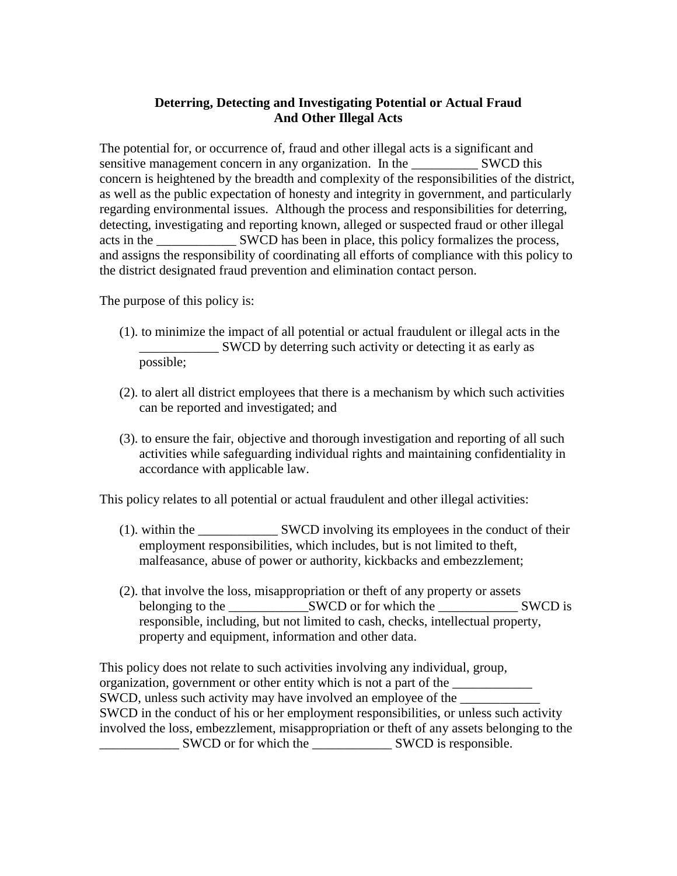## **Deterring, Detecting and Investigating Potential or Actual Fraud And Other Illegal Acts**

The potential for, or occurrence of, fraud and other illegal acts is a significant and sensitive management concern in any organization. In the SWCD this concern is heightened by the breadth and complexity of the responsibilities of the district, as well as the public expectation of honesty and integrity in government, and particularly regarding environmental issues. Although the process and responsibilities for deterring, detecting, investigating and reporting known, alleged or suspected fraud or other illegal acts in the \_\_\_\_\_\_\_\_\_\_\_\_ SWCD has been in place, this policy formalizes the process, and assigns the responsibility of coordinating all efforts of compliance with this policy to the district designated fraud prevention and elimination contact person.

The purpose of this policy is:

- (1). to minimize the impact of all potential or actual fraudulent or illegal acts in the \_\_\_\_\_\_\_\_\_\_\_\_ SWCD by deterring such activity or detecting it as early as possible;
- (2). to alert all district employees that there is a mechanism by which such activities can be reported and investigated; and
- (3). to ensure the fair, objective and thorough investigation and reporting of all such activities while safeguarding individual rights and maintaining confidentiality in accordance with applicable law.

This policy relates to all potential or actual fraudulent and other illegal activities:

- (1). within the SWCD involving its employees in the conduct of their employment responsibilities, which includes, but is not limited to theft, malfeasance, abuse of power or authority, kickbacks and embezzlement;
- (2). that involve the loss, misappropriation or theft of any property or assets belonging to the \_\_\_\_\_\_\_\_\_\_\_\_SWCD or for which the \_\_\_\_\_\_\_\_\_\_\_\_ SWCD is responsible, including, but not limited to cash, checks, intellectual property, property and equipment, information and other data.

This policy does not relate to such activities involving any individual, group, organization, government or other entity which is not a part of the \_\_\_\_\_\_\_\_\_\_\_\_ SWCD, unless such activity may have involved an employee of the SWCD in the conduct of his or her employment responsibilities, or unless such activity involved the loss, embezzlement, misappropriation or theft of any assets belonging to the \_\_\_\_\_\_\_\_\_\_\_\_ SWCD or for which the \_\_\_\_\_\_\_\_\_\_\_\_ SWCD is responsible.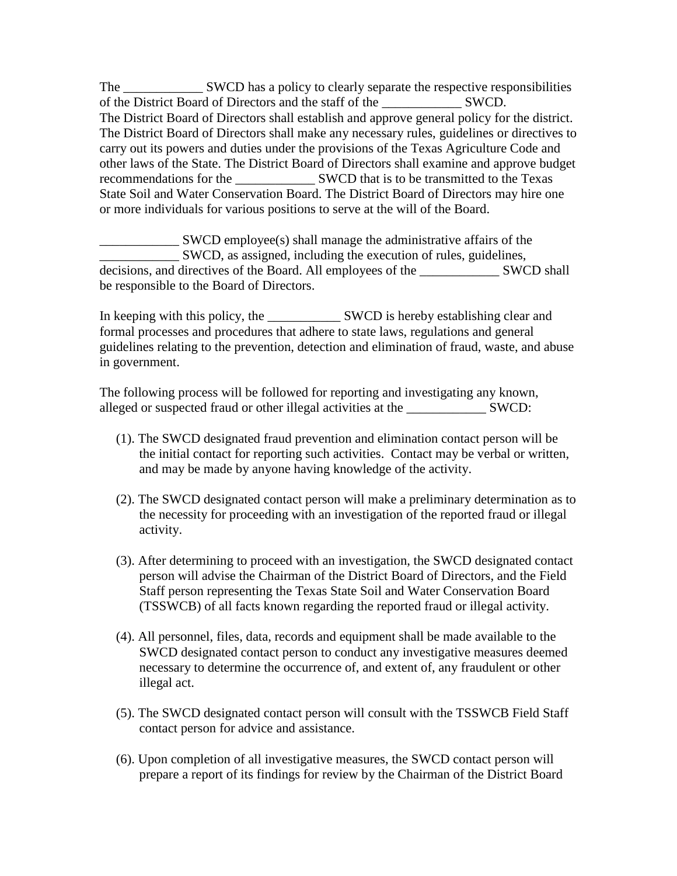The SWCD has a policy to clearly separate the respective responsibilities of the District Board of Directors and the staff of the SWCD. The District Board of Directors shall establish and approve general policy for the district. The District Board of Directors shall make any necessary rules, guidelines or directives to carry out its powers and duties under the provisions of the Texas Agriculture Code and other laws of the State. The District Board of Directors shall examine and approve budget recommendations for the SWCD that is to be transmitted to the Texas State Soil and Water Conservation Board. The District Board of Directors may hire one or more individuals for various positions to serve at the will of the Board.

\_\_\_\_\_\_\_\_\_\_\_\_ SWCD employee(s) shall manage the administrative affairs of the \_\_\_\_\_\_\_\_\_\_\_\_ SWCD, as assigned, including the execution of rules, guidelines, decisions, and directives of the Board. All employees of the \_\_\_\_\_\_\_\_\_\_\_\_ SWCD shall be responsible to the Board of Directors.

In keeping with this policy, the SWCD is hereby establishing clear and formal processes and procedures that adhere to state laws, regulations and general guidelines relating to the prevention, detection and elimination of fraud, waste, and abuse in government.

The following process will be followed for reporting and investigating any known, alleged or suspected fraud or other illegal activities at the SWCD:

- (1). The SWCD designated fraud prevention and elimination contact person will be the initial contact for reporting such activities. Contact may be verbal or written, and may be made by anyone having knowledge of the activity.
- (2). The SWCD designated contact person will make a preliminary determination as to the necessity for proceeding with an investigation of the reported fraud or illegal activity.
- (3). After determining to proceed with an investigation, the SWCD designated contact person will advise the Chairman of the District Board of Directors, and the Field Staff person representing the Texas State Soil and Water Conservation Board (TSSWCB) of all facts known regarding the reported fraud or illegal activity.
- (4). All personnel, files, data, records and equipment shall be made available to the SWCD designated contact person to conduct any investigative measures deemed necessary to determine the occurrence of, and extent of, any fraudulent or other illegal act.
- (5). The SWCD designated contact person will consult with the TSSWCB Field Staff contact person for advice and assistance.
- (6). Upon completion of all investigative measures, the SWCD contact person will prepare a report of its findings for review by the Chairman of the District Board